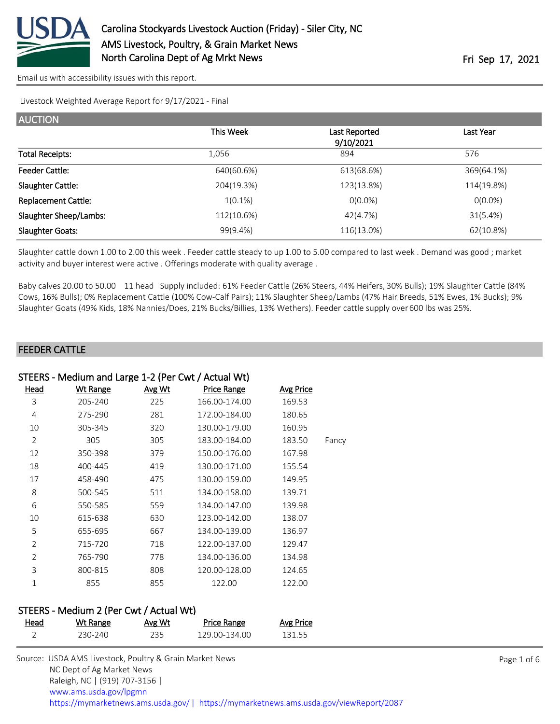

Livestock Weighted Average Report for 9/17/2021 - Final

| <b>AUCTION</b>             |            |                            |            |
|----------------------------|------------|----------------------------|------------|
|                            | This Week  | Last Reported<br>9/10/2021 | Last Year  |
| <b>Total Receipts:</b>     | 1,056      | 894                        | 576        |
| <b>Feeder Cattle:</b>      | 640(60.6%) | 613(68.6%)                 | 369(64.1%) |
| Slaughter Cattle:          | 204(19.3%) | 123(13.8%)                 | 114(19.8%) |
| <b>Replacement Cattle:</b> | $1(0.1\%)$ | $O(0.0\%)$                 | $0(0.0\%)$ |
| Slaughter Sheep/Lambs:     | 112(10.6%) | 42(4.7%)                   | 31(5.4%)   |
| <b>Slaughter Goats:</b>    | 99(9.4%)   | 116(13.0%)                 | 62(10.8%)  |

Slaughter cattle down 1.00 to 2.00 this week . Feeder cattle steady to up 1.00 to 5.00 compared to last week . Demand was good ; market activity and buyer interest were active . Offerings moderate with quality average .

Baby calves 20.00 to 50.00 11 head Supply included: 61% Feeder Cattle (26% Steers, 44% Heifers, 30% Bulls); 19% Slaughter Cattle (84% Cows, 16% Bulls); 0% Replacement Cattle (100% Cow-Calf Pairs); 11% Slaughter Sheep/Lambs (47% Hair Breeds, 51% Ewes, 1% Bucks); 9% Slaughter Goats (49% Kids, 18% Nannies/Does, 21% Bucks/Billies, 13% Wethers). Feeder cattle supply over 600 lbs was 25%.

### FEEDER CATTLE

| STEERS - Medium and Large 1-2 (Per Cwt / Actual Wt) |                 |               |                    |                  |       |
|-----------------------------------------------------|-----------------|---------------|--------------------|------------------|-------|
| Head                                                | <b>Wt Range</b> | <u>Avg Wt</u> | <b>Price Range</b> | <b>Avg Price</b> |       |
| 3                                                   | 205-240         | 225           | 166.00-174.00      | 169.53           |       |
| 4                                                   | 275-290         | 281           | 172.00-184.00      | 180.65           |       |
| 10                                                  | 305-345         | 320           | 130.00-179.00      | 160.95           |       |
| $\overline{2}$                                      | 305             | 305           | 183.00-184.00      | 183.50           | Fancy |
| 12                                                  | 350-398         | 379           | 150.00-176.00      | 167.98           |       |
| 18                                                  | 400-445         | 419           | 130.00-171.00      | 155.54           |       |
| 17                                                  | 458-490         | 475           | 130.00-159.00      | 149.95           |       |
| 8                                                   | 500-545         | 511           | 134.00-158.00      | 139.71           |       |
| 6                                                   | 550-585         | 559           | 134.00-147.00      | 139.98           |       |
| 10                                                  | 615-638         | 630           | 123.00-142.00      | 138.07           |       |
| 5                                                   | 655-695         | 667           | 134.00-139.00      | 136.97           |       |
| $\overline{2}$                                      | 715-720         | 718           | 122.00-137.00      | 129.47           |       |
| $\overline{2}$                                      | 765-790         | 778           | 134.00-136.00      | 134.98           |       |
| 3                                                   | 800-815         | 808           | 120.00-128.00      | 124.65           |       |
| 1                                                   | 855             | 855           | 122.00             | 122.00           |       |
|                                                     |                 |               |                    |                  |       |

#### STEERS - Medium 2 (Per Cwt / Actual Wt)

| Head | Wt Range | Avg Wt | Price Range   | Avg Price |
|------|----------|--------|---------------|-----------|
|      | 230-240  | 235.   | 129.00-134.00 | 131.55    |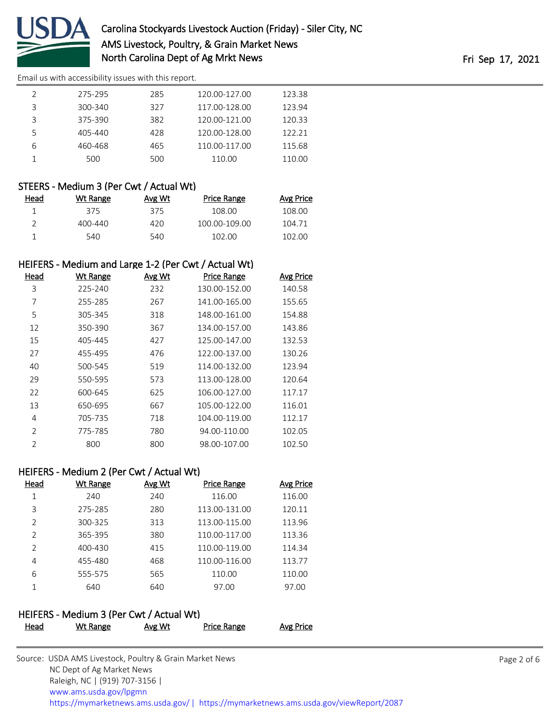

|   | 275-295     | 285 | 120.00-127.00 | 123.38 |
|---|-------------|-----|---------------|--------|
|   | 300-340     | 327 | 117.00-128.00 | 123.94 |
|   | 375-390     | 382 | 120.00-121.00 | 120.33 |
|   | $405 - 440$ | 428 | 120.00-128.00 | 122.21 |
| 6 | 460-468     | 465 | 110.00-117.00 | 115.68 |
|   | 500         | 500 | 110.00        | 110.00 |

# STEERS - Medium 3 (Per Cwt / Actual Wt)

| Head | Wt Range | Avg Wt | Price Range   | Avg Price |
|------|----------|--------|---------------|-----------|
|      | 375      | 375    | 108.00        | 108.00    |
|      | 400-440  | 420    | 100.00-109.00 | 104.71    |
|      | 540      | 540    | 102.00        | 102.00    |

# HEIFERS - Medium and Large 1-2 (Per Cwt / Actual Wt)

| Head           | <b>Wt Range</b> | Avg Wt | <b>Price Range</b> | Avg Price |
|----------------|-----------------|--------|--------------------|-----------|
| 3              | 225-240         | 232    | 130.00-152.00      | 140.58    |
| 7              | 255-285         | 267    | 141.00-165.00      | 155.65    |
| 5              | 305-345         | 318    | 148.00-161.00      | 154.88    |
| 12             | 350-390         | 367    | 134.00-157.00      | 143.86    |
| 15             | 405-445         | 427    | 125.00-147.00      | 132.53    |
| 27             | 455-495         | 476    | 122.00-137.00      | 130.26    |
| 40             | 500-545         | 519    | 114.00-132.00      | 123.94    |
| 29             | 550-595         | 573    | 113.00-128.00      | 120.64    |
| 22             | 600-645         | 625    | 106.00-127.00      | 117.17    |
| 13             | 650-695         | 667    | 105.00-122.00      | 116.01    |
| 4              | 705-735         | 718    | 104.00-119.00      | 112.17    |
| $\overline{2}$ | 775-785         | 780    | 94.00-110.00       | 102.05    |
| $\overline{2}$ | 800             | 800    | 98.00-107.00       | 102.50    |

# HEIFERS - Medium 2 (Per Cwt / Actual Wt)

| Head          | Wt Range | Avg Wt | <b>Price Range</b> | Avg Price |
|---------------|----------|--------|--------------------|-----------|
| 1             | 240      | 240    | 116.00             | 116.00    |
| 3             | 275-285  | 280    | 113.00-131.00      | 120.11    |
| $\mathcal{P}$ | 300-325  | 313    | 113.00-115.00      | 113.96    |
| $\mathcal{P}$ | 365-395  | 380    | 110.00-117.00      | 113.36    |
| $\mathcal{P}$ | 400-430  | 415    | 110.00-119.00      | 114.34    |
| 4             | 455-480  | 468    | 110.00-116.00      | 113.77    |
| 6             | 555-575  | 565    | 110.00             | 110.00    |
|               | 640      | 640    | 97.00              | 97.00     |

# HEIFERS - Medium 3 (Per Cwt / Actual Wt)

| ------------ |          |        |                    |           |
|--------------|----------|--------|--------------------|-----------|
| Head         | Wt Range | Avg Wt | <b>Price Range</b> | Avg Price |
|              |          |        |                    |           |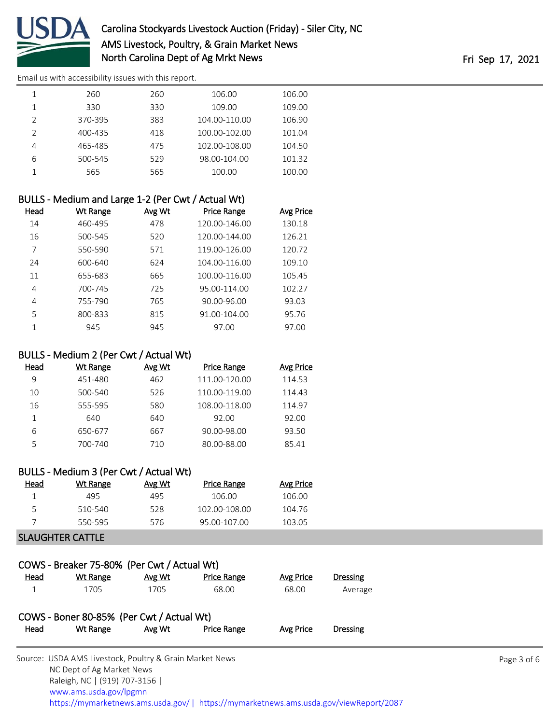

# Carolina Stockyards Livestock Auction (Friday) - Siler City, NC AMS Livestock, Poultry, & Grain Market News North Carolina Dept of Ag Mrkt News **Fri Sep 17, 2021**

[Email us with accessibility issues with this report.](mailto:mars@ams.usda.gov?subject=508%20issue)

|                | 260     | 260 | 106.00        | 106.00 |
|----------------|---------|-----|---------------|--------|
|                | 330     | 330 | 109.00        | 109.00 |
| $\mathcal{P}$  | 370-395 | 383 | 104.00-110.00 | 106.90 |
| $\mathfrak{D}$ | 400-435 | 418 | 100.00-102.00 | 101.04 |
| 4              | 465-485 | 475 | 102.00-108.00 | 104.50 |
| 6              | 500-545 | 529 | 98.00-104.00  | 101.32 |
|                | 565     | 565 | 100.00        | 100.00 |
|                |         |     |               |        |

| BULLS - Medium and Large 1-2 (Per Cwt / Actual Wt) |          |        |               |                  |  |
|----------------------------------------------------|----------|--------|---------------|------------------|--|
| Head                                               | Wt Range | Avg Wt | Price Range   | <b>Avg Price</b> |  |
| 14                                                 | 460-495  | 478    | 120.00-146.00 | 130.18           |  |
| 16                                                 | 500-545  | 520    | 120.00-144.00 | 126.21           |  |
| 7                                                  | 550-590  | 571    | 119.00-126.00 | 120.72           |  |
| 24                                                 | 600-640  | 624    | 104.00-116.00 | 109.10           |  |
| 11                                                 | 655-683  | 665    | 100.00-116.00 | 105.45           |  |
| 4                                                  | 700-745  | 725    | 95.00-114.00  | 102.27           |  |
| 4                                                  | 755-790  | 765    | 90.00-96.00   | 93.03            |  |
| 5                                                  | 800-833  | 815    | 91.00-104.00  | 95.76            |  |
|                                                    | 945      | 945    | 97.00         | 97.00            |  |

### BULLS - Medium 2 (Per Cwt / Actual Wt)

| Head | Wt Range | Avg Wt | <b>Price Range</b> | Avg Price |
|------|----------|--------|--------------------|-----------|
| 9    | 451-480  | 462    | 111.00-120.00      | 114.53    |
| 10   | 500-540  | 526    | 110.00-119.00      | 114.43    |
| 16   | 555-595  | 580    | 108.00-118.00      | 114.97    |
|      | 640      | 640    | 92.00              | 92.00     |
| 6    | 650-677  | 667    | 90.00-98.00        | 93.50     |
| 5    | 700-740  | 710    | 80.00-88.00        | 85.41     |

| BULLS - Medium 3 (Per Cwt / Actual Wt) |          |        |               |                  |  |  |
|----------------------------------------|----------|--------|---------------|------------------|--|--|
| Head                                   | Wt Range | Avg Wt | Price Range   | <b>Avg Price</b> |  |  |
|                                        | 495      | 495    | 106.00        | 106.00           |  |  |
| 5.                                     | 510-540  | 528    | 102.00-108.00 | 104.76           |  |  |
|                                        | 550-595  | 576    | 95.00-107.00  | 103.05           |  |  |

### SLAUGHTER CATTLE

| COWS - Breaker 75-80% (Per Cwt / Actual Wt) |                                           |        |                    |           |                 |  |  |  |  |  |  |
|---------------------------------------------|-------------------------------------------|--------|--------------------|-----------|-----------------|--|--|--|--|--|--|
| Head                                        | Wt Range                                  | Avg Wt | <b>Price Range</b> | Avg Price | <b>Dressing</b> |  |  |  |  |  |  |
|                                             | 1705                                      | 1705   | 68.00              | 68.00     | Average         |  |  |  |  |  |  |
|                                             | COWS - Boner 80-85% (Per Cwt / Actual Wt) |        |                    |           |                 |  |  |  |  |  |  |
| Head                                        | Wt Range                                  | Avg Wt | <b>Price Range</b> | Avg Price | <b>Dressing</b> |  |  |  |  |  |  |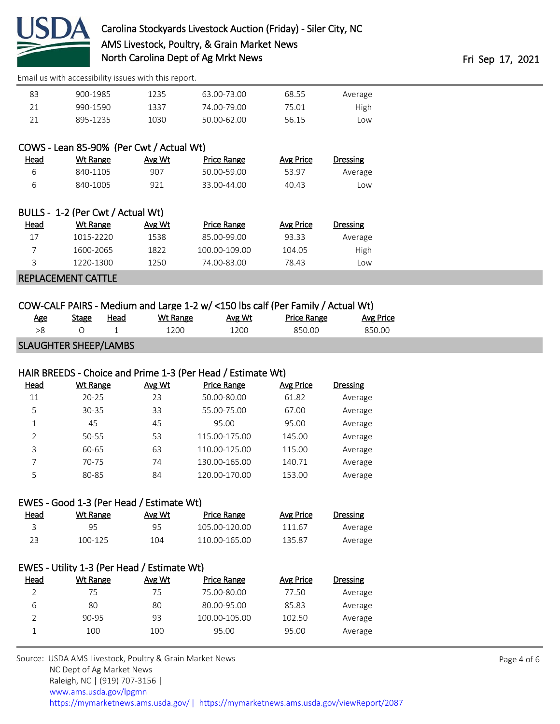

| 83 | 900-1985 | 1235 | 63.00-73.00 | 68.55 | Average |
|----|----------|------|-------------|-------|---------|
| 21 | 990-1590 | 1337 | 74.00-79.00 | 75.01 | High    |
| 21 | 895-1235 | 1030 | 50.00-62.00 | 56.15 | Low     |

|   |                    | COWS - Lean 85-90% (Per Cwt / Actual Wt) |                  |
|---|--------------------|------------------------------------------|------------------|
| . | $144.73 \pm 0.000$ | $\mathbf{A} \cdot \mathbf{A}$            | <b>D.J.</b> - D. |

| Dressing | Avg Price | Price Range | Avg Wt | Wt Range | <u>Head</u> |
|----------|-----------|-------------|--------|----------|-------------|
| Average  | 53.97     | 50.00-59.00 | 907    | 840-1105 |             |
| Low      | 40.43     | 33.00-44.00 | 921    | 840-1005 | ิค          |

| BULLS - 1-2 (Per CWt / Actual Wt) |                |        |                    |           |          |  |  |  |  |
|-----------------------------------|----------------|--------|--------------------|-----------|----------|--|--|--|--|
| <u>Head</u>                       | Wt Range       | Avg Wt | <b>Price Range</b> | Avg Price | Dressing |  |  |  |  |
| 17                                | 1015-2220      | 1538   | 85.00-99.00        | 93.33     | Average  |  |  |  |  |
|                                   | 1600-2065      | 1822   | 100.00-109.00      | 104.05    | High     |  |  |  |  |
| ς                                 | 1220-1300      | 1250   | 74.00-83.00        | 78.43     | Low      |  |  |  |  |
|                                   | . <del>.</del> |        |                    |           |          |  |  |  |  |

# REPLACEMENT CATTLE

 $B = 100R + 20R + 20R + 10R$ 

# COW-CALF PAIRS - Medium and Large 1-2 w/ <150 lbs calf (Per Family / Actual Wt)

| <u>Age</u>                   | Stage | Head | Wt Range | Avg Wt | <b>Price Range</b> | Avg Price |  |
|------------------------------|-------|------|----------|--------|--------------------|-----------|--|
|                              |       |      | 1200     | 1200   | 850.00             | 850.00    |  |
| <b>SLAUGHTER SHEEP/LAMBS</b> |       |      |          |        |                    |           |  |

# HAIR BREEDS - Choice and Prime 1-3 (Per Head / Estimate Wt)

| Head           | <b>Wt Range</b> | Avg Wt | <b>Price Range</b> | Avg Price | <b>Dressing</b> |
|----------------|-----------------|--------|--------------------|-----------|-----------------|
| 11             | $20 - 25$       | 23     | 50.00-80.00        | 61.82     | Average         |
| 5              | 30-35           | 33     | 55.00-75.00        | 67.00     | Average         |
| 1              | 45              | 45     | 95.00              | 95.00     | Average         |
| $\mathfrak{D}$ | 50-55           | 53     | 115.00-175.00      | 145.00    | Average         |
| 3              | 60-65           | 63     | 110.00-125.00      | 115.00    | Average         |
|                | 70-75           | 74     | 130.00-165.00      | 140.71    | Average         |
| 5              | 80-85           | 84     | 120.00-170.00      | 153.00    | Average         |

#### EWES - Good 1-3 (Per Head / Estimate Wt)

| <u>Head</u> | Wt Range | Avg Wt | Price Range   | Avg Price | Dressing |
|-------------|----------|--------|---------------|-----------|----------|
|             | 95.      | 95     | 105.00-120.00 | 111.67    | Average  |
| 23          | 100-125  | 104    | 110.00-165.00 | 135.87    | Average  |

# EWES - Utility 1-3 (Per Head / Estimate Wt)

| Head | Wt Range | Avg Wt | <b>Price Range</b> | Avg Price | Dressing |
|------|----------|--------|--------------------|-----------|----------|
|      | 75       | 75     | 75.00-80.00        | 77.50     | Average  |
| 6    | 80       | 80     | 80.00-95.00        | 85.83     | Average  |
|      | 90-95    | 93     | 100.00-105.00      | 102.50    | Average  |
|      | 100      | 100    | 95.00              | 95.00     | Average  |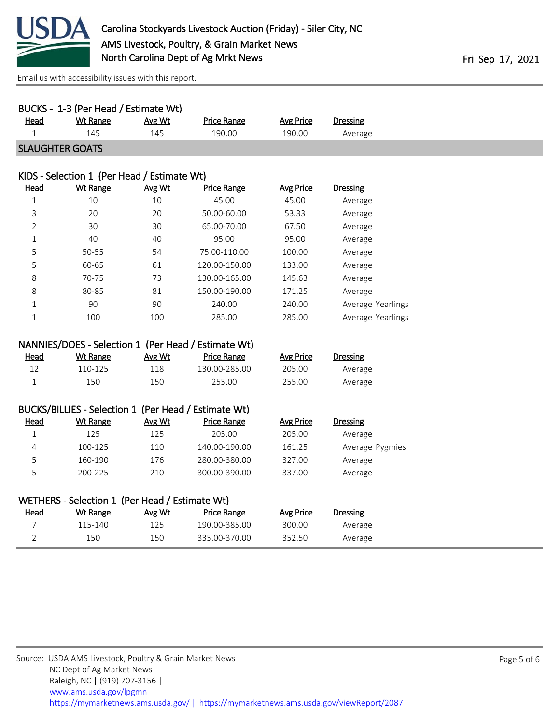

|             | BUCKS - 1-3 (Per Head / Estimate Wt) |        |                    |           |          |
|-------------|--------------------------------------|--------|--------------------|-----------|----------|
| <u>Head</u> | Wt Range                             | Avg Wt | <b>Price Range</b> | Avg Price | Dressing |
|             | 145                                  | 145    | 190.00             | 190.00    | Average  |
|             | <b>SLAUGHTER GOATS</b>               |        |                    |           |          |

#### KIDS - Selection 1 (Per Head / Estimate Wt)

| <b>Head</b>    | Wt Range | Avg Wt | Price Range   | Avg Price | <b>Dressing</b>   |
|----------------|----------|--------|---------------|-----------|-------------------|
| 1              | 10       | 10     | 45.00         | 45.00     | Average           |
| 3              | 20       | 20     | 50.00-60.00   | 53.33     | Average           |
| $\overline{2}$ | 30       | 30     | 65.00-70.00   | 67.50     | Average           |
| 1              | 40       | 40     | 95.00         | 95.00     | Average           |
| 5              | 50-55    | 54     | 75.00-110.00  | 100.00    | Average           |
| 5              | 60-65    | 61     | 120.00-150.00 | 133.00    | Average           |
| 8              | 70-75    | 73     | 130.00-165.00 | 145.63    | Average           |
| 8              | 80-85    | 81     | 150.00-190.00 | 171.25    | Average           |
| 1              | 90       | 90     | 240.00        | 240.00    | Average Yearlings |
| 1              | 100      | 100    | 285.00        | 285.00    | Average Yearlings |

|      | NANNIES/DOES - Selection 1 (Per Head / Estimate Wt) |        |             |           |          |
|------|-----------------------------------------------------|--------|-------------|-----------|----------|
| Head | Wt Range                                            | Avg Wt | Price Range | Avg Price | Dressing |

| <u>Dressing</u> | AVE PHCE | Price Range   | <b>AVE WU</b> | <b>VVL Range</b> | <u>neau</u> |
|-----------------|----------|---------------|---------------|------------------|-------------|
| Average         | 205.00   | 130.00-285.00 | 118           | 110-125          |             |
| Average         | 255.00   | 255.00        | 150           | 150              |             |

# BUCKS/BILLIES - Selection 1 (Per Head / Estimate Wt)

| <u>Head</u> | Wt Range | Avg Wt | Price Range   | Avg Price | Dressing        |
|-------------|----------|--------|---------------|-----------|-----------------|
|             | 125      | 125    | 205.00        | 205.00    | Average         |
| 4           | 100-125  | 110    | 140.00-190.00 | 161.25    | Average Pygmies |
| כ           | 160-190  | 176    | 280.00-380.00 | 327.00    | Average         |
| ∽           | 200-225  | 210    | 300.00-390.00 | 337.00    | Average         |

| WETHERS - Selection 1 (Per Head / Estimate Wt) |          |        |               |           |                 |  |  |
|------------------------------------------------|----------|--------|---------------|-----------|-----------------|--|--|
| <b>Head</b>                                    | Wt Range | Avg Wt | Price Range   | Avg Price | <b>Dressing</b> |  |  |
|                                                | 115-140  | 125    | 190.00-385.00 | 300.00    | Average         |  |  |
|                                                | 150      | 150    | 335.00-370.00 | 352.50    | Average         |  |  |